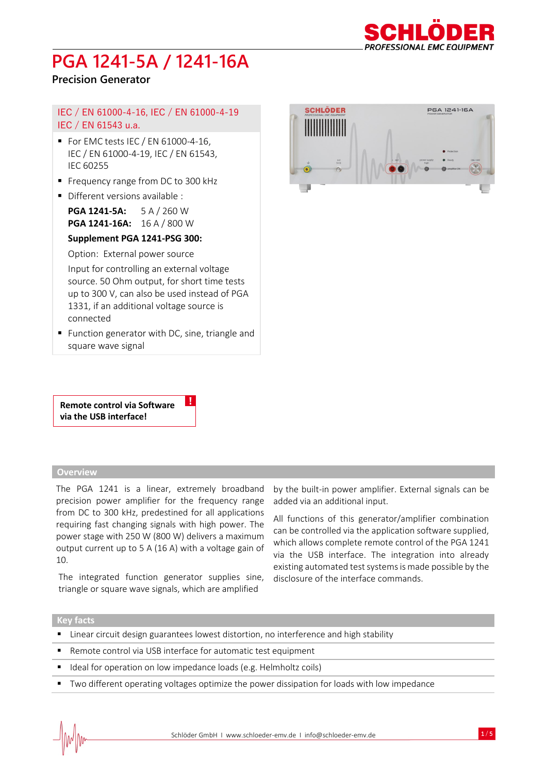

## **Precision Generator**

### IEC / EN 61000-4-16, IEC / EN 61000-4-19 IEC / EN 61543 u.a.

- $\blacksquare$  For EMC tests IEC / EN 61000-4-16, IEC / EN 61000-4-19, IEC / EN 61543, IEC 60255
- Frequency range from DC to 300 kHz
- Different versions available :

**PGA 1241-5A:** 5 A / 260 W **PGA 1241-16A:** 16 A / 800 W

#### **Supplement PGA 1241-PSG 300:**

Option: External power source

Input for controlling an external voltage source. 50 Ohm output, for short time tests up to 300 V, can also be used instead of PGA 1331, if an additional voltage source is connected

■ Function generator with DC, sine, triangle and square wave signal

!

**Remote control via Software via the USB interface!**

#### **Overview**

The PGA 1241 is a linear, extremely broadband precision power amplifier for the frequency range from DC to 300 kHz, predestined for all applications requiring fast changing signals with high power. The power stage with 250 W (800 W) delivers a maximum output current up to 5 A (16 A) with a voltage gain of 10.

The integrated function generator supplies sine, triangle or square wave signals, which are amplified



by the built-in power amplifier. External signals can be added via an additional input.

All functions of this generator/amplifier combination can be controlled via the application software supplied, which allows complete remote control of the PGA 1241 via the USB interface. The integration into already existing automated test systems is made possible by the disclosure of the interface commands.

#### **Key facts**

- **EXTER** Linear circuit design guarantees lowest distortion, no interference and high stability
- Remote control via USB interface for automatic test equipment
- Ideal for operation on low impedance loads (e.g. Helmholtz coils)
- Two different operating voltages optimize the power dissipation for loads with low impedance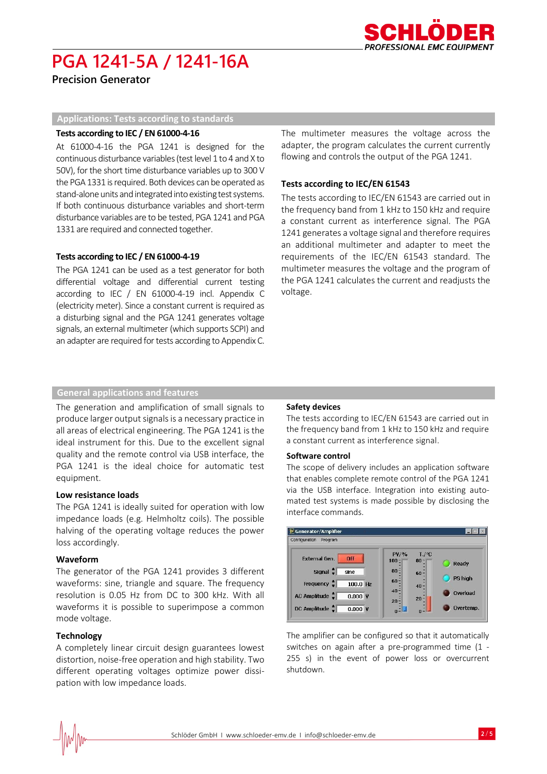

**Precision Generator**

#### **Applications: Tests according to standards**

#### **Tests according to IEC / EN 61000-4-16**

At 61000-4-16 the PGA 1241 is designed for the continuous disturbance variables (test level 1 to 4 and X to 50V), for the short time disturbance variables up to 300 V the PGA 1331 is required. Both devices can be operated as stand-alone units and integrated into existing test systems. If both continuous disturbance variables and short-term disturbance variables are to be tested, PGA 1241 and PGA 1331 are required and connected together.

#### **Tests according to IEC / EN 61000-4-19**

The PGA 1241 can be used as a test generator for both differential voltage and differential current testing according to IEC / EN 61000-4-19 incl. Appendix C (electricity meter). Since a constant current is required as a disturbing signal and the PGA 1241 generates voltage signals, an external multimeter (which supports SCPI) and an adapter are required for tests according to Appendix C.

The multimeter measures the voltage across the adapter, the program calculates the current currently flowing and controls the output of the PGA 1241.

#### **Tests according to IEC/EN 61543**

The tests according to IEC/EN 61543 are carried out in the frequency band from 1 kHz to 150 kHz and require a constant current as interference signal. The PGA 1241 generates a voltage signal and therefore requires an additional multimeter and adapter to meet the requirements of the IEC/EN 61543 standard. The multimeter measures the voltage and the program of the PGA 1241 calculates the current and readjusts the voltage.

#### **General applications and features**

The generation and amplification of small signals to produce larger output signals is a necessary practice in all areas of electrical engineering. The PGA 1241 is the ideal instrument for this. Due to the excellent signal quality and the remote control via USB interface, the PGA 1241 is the ideal choice for automatic test equipment.

#### **Low resistance loads**

The PGA 1241 is ideally suited for operation with low impedance loads (e.g. Helmholtz coils). The possible halving of the operating voltage reduces the power loss accordingly.

#### **Waveform**

The generator of the PGA 1241 provides 3 different waveforms: sine, triangle and square. The frequency resolution is 0.05 Hz from DC to 300 kHz. With all waveforms it is possible to superimpose a common mode voltage.

#### **Technology**

A completely linear circuit design guarantees lowest distortion, noise-free operation and high stability. Two different operating voltages optimize power dissipation with low impedance loads.

#### **Safety devices**

The tests according to IEC/EN 61543 are carried out in the frequency band from 1 kHz to 150 kHz and require a constant current as interference signal.

#### **Software control**

The scope of delivery includes an application software that enables complete remote control of the PGA 1241 via the USB interface. Integration into existing automated test systems is made possible by disclosing the interface commands.



The amplifier can be configured so that it automatically switches on again after a pre-programmed time (1 - 255 s) in the event of power loss or overcurrent shutdown.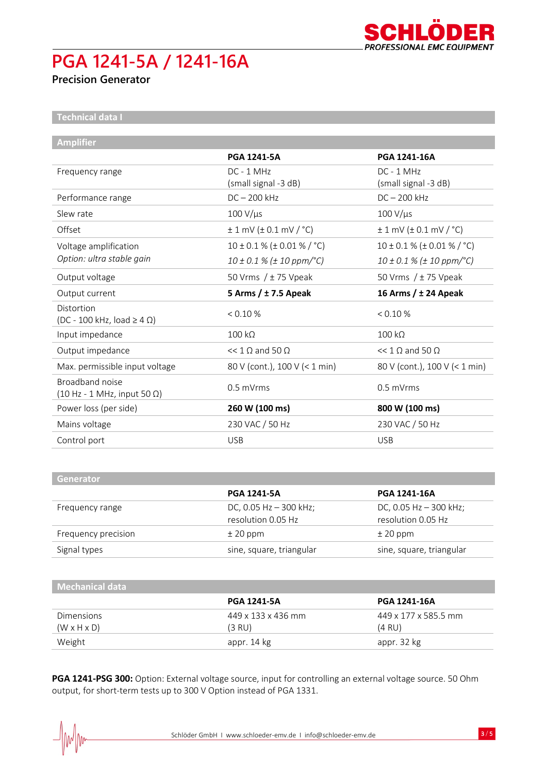

## **Precision Generator**

**Technical data I**

| <b>Amplifier</b>                                                              |                                     |                                           |
|-------------------------------------------------------------------------------|-------------------------------------|-------------------------------------------|
|                                                                               | <b>PGA 1241-5A</b>                  | PGA 1241-16A                              |
| Frequency range                                                               | $DC - 1 MHz$                        | $DC - 1 MHz$                              |
|                                                                               | (small signal -3 dB)                | (small signal -3 dB)                      |
| Performance range                                                             | $DC - 200$ kHz                      | $DC - 200$ kHz                            |
| Slew rate                                                                     | $100 V/\mu s$                       | $100 V/\mu s$                             |
| Offset                                                                        | $\pm$ 1 mV ( $\pm$ 0.1 mV / °C)     | $\pm$ 1 mV ( $\pm$ 0.1 mV / $^{\circ}$ C) |
| Voltage amplification                                                         | $10 \pm 0.1$ % ( $\pm$ 0.01 % / °C) | $10 \pm 0.1$ % ( $\pm$ 0.01 % / °C)       |
| Option: ultra stable gain                                                     | $10 \pm 0.1$ % ( $\pm$ 10 ppm/°C)   | $10 \pm 0.1$ % ( $\pm$ 10 ppm/°C)         |
| Output voltage                                                                | 50 Vrms $/$ ± 75 Vpeak              | 50 Vrms $/$ ± 75 Vpeak                    |
| Output current                                                                | 5 Arms $/$ ± 7.5 Apeak              | 16 Arms / ± 24 Apeak                      |
| Distortion<br>$(DC - 100$ kHz, load $\geq 4$ $\Omega$ )                       | < 0.10 %                            | < 0.10 %                                  |
| Input impedance                                                               | $100 k\Omega$                       | $100 k\Omega$                             |
| Output impedance                                                              | $<< 1 \Omega$ and 50 $\Omega$       | $<< 1 \Omega$ and 50 $\Omega$             |
| Max. permissible input voltage                                                | 80 V (cont.), 100 V (< 1 min)       | 80 V (cont.), 100 V (< 1 min)             |
| Broadband noise<br>$(10 \text{ Hz} - 1 \text{ MHz}, \text{input } 50 \Omega)$ | $0.5$ mVrms                         | $0.5$ mVrms                               |
| Power loss (per side)                                                         | 260 W (100 ms)                      | 800 W (100 ms)                            |
| Mains voltage                                                                 | 230 VAC / 50 Hz                     | 230 VAC / 50 Hz                           |
| Control port                                                                  | <b>USB</b>                          | <b>USB</b>                                |

| <b>Generator</b>    |                                                |                                                |
|---------------------|------------------------------------------------|------------------------------------------------|
|                     | <b>PGA 1241-5A</b>                             | <b>PGA 1241-16A</b>                            |
| Frequency range     | DC, 0.05 Hz $-$ 300 kHz;<br>resolution 0.05 Hz | DC, 0.05 Hz $-$ 300 kHz;<br>resolution 0.05 Hz |
| Frequency precision | $±$ 20 ppm                                     | $±$ 20 ppm                                     |
| Signal types        | sine, square, triangular                       | sine, square, triangular                       |

| Mechanical data         |                    |                      |
|-------------------------|--------------------|----------------------|
|                         | <b>PGA 1241-5A</b> | <b>PGA 1241-16A</b>  |
| <b>Dimensions</b>       | 449 x 133 x 436 mm | 449 x 177 x 585.5 mm |
| $(W \times H \times D)$ | $(3 \text{ RU})$   | $(4 \text{ RU})$     |
| Weight                  | appr. 14 kg        | appr. 32 kg          |

**PGA 1241-PSG 300:** Option: External voltage source, input for controlling an external voltage source. 50 Ohm output, for short-term tests up to 300 V Option instead of PGA 1331.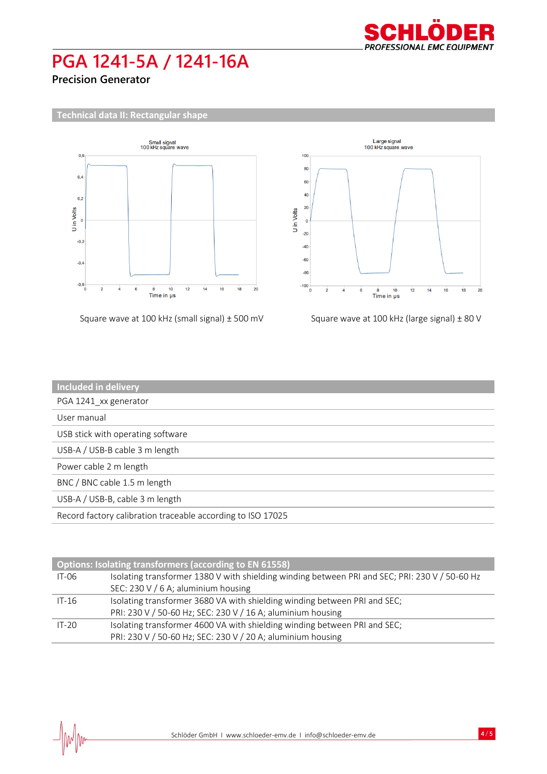

**Precision Generator**



| Square wave at 100 kHz (small signal) $\pm$ 500 mV | Square wave at 100 kHz (large signal) ± 80 V |
|----------------------------------------------------|----------------------------------------------|
|----------------------------------------------------|----------------------------------------------|



| <b>Included in delivery</b>                                 |
|-------------------------------------------------------------|
| PGA 1241_xx generator                                       |
| User manual                                                 |
| USB stick with operating software                           |
| USB-A / USB-B cable 3 m length                              |
| Power cable 2 m length                                      |
| BNC / BNC cable 1.5 m length                                |
| USB-A / USB-B, cable 3 m length                             |
| Record factory calibration traceable according to ISO 17025 |

| Options: Isolating transformers (according to EN 61558) |                                                                                                |  |
|---------------------------------------------------------|------------------------------------------------------------------------------------------------|--|
| $IT-06$                                                 | Isolating transformer 1380 V with shielding winding between PRI and SEC; PRI: 230 V / 50-60 Hz |  |
|                                                         | SEC: 230 V / 6 A; aluminium housing                                                            |  |
| $IT-16$                                                 | Isolating transformer 3680 VA with shielding winding between PRI and SEC;                      |  |
|                                                         | PRI: 230 V / 50-60 Hz; SEC: 230 V / 16 A; aluminium housing                                    |  |
| $IT-20$                                                 | Isolating transformer 4600 VA with shielding winding between PRI and SEC;                      |  |
|                                                         | PRI: 230 V / 50-60 Hz; SEC: 230 V / 20 A; aluminium housing                                    |  |